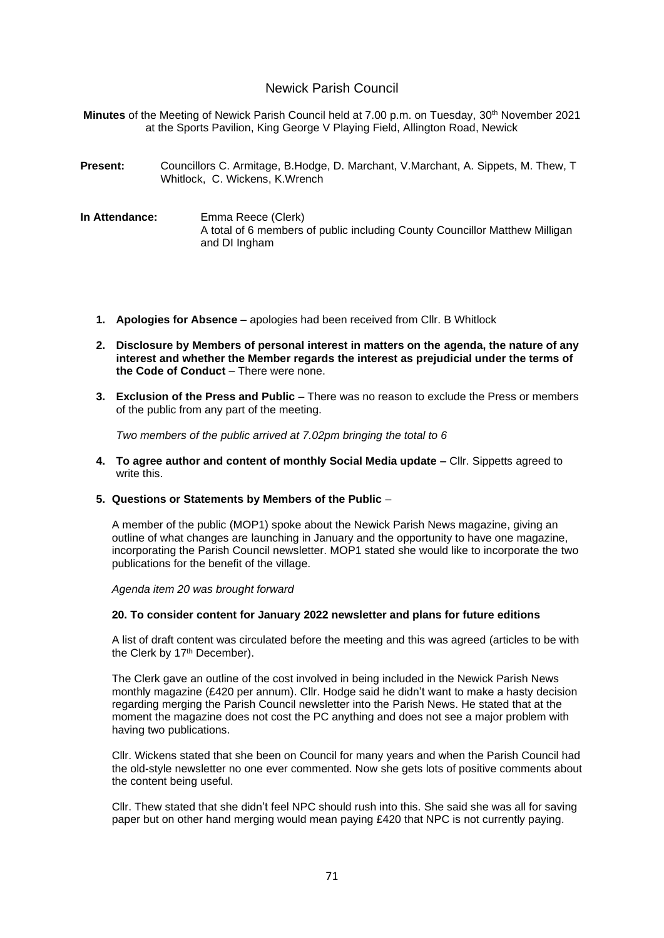## Newick Parish Council

**Minutes** of the Meeting of Newick Parish Council held at 7.00 p.m. on Tuesday, 30<sup>th</sup> November 2021 at the Sports Pavilion, King George V Playing Field, Allington Road, Newick

- **Present:** Councillors C. Armitage, B.Hodge, D. Marchant, V.Marchant, A. Sippets, M. Thew, T Whitlock, C. Wickens, K.Wrench
- **In Attendance:** Emma Reece (Clerk) A total of 6 members of public including County Councillor Matthew Milligan and DI Ingham
	- **1. Apologies for Absence** apologies had been received from Cllr. B Whitlock
	- **2. Disclosure by Members of personal interest in matters on the agenda, the nature of any interest and whether the Member regards the interest as prejudicial under the terms of the Code of Conduct** – There were none.
	- **3. Exclusion of the Press and Public** There was no reason to exclude the Press or members of the public from any part of the meeting.

*Two members of the public arrived at 7.02pm bringing the total to 6*

- **4. To agree author and content of monthly Social Media update –** Cllr. Sippetts agreed to write this.
- **5. Questions or Statements by Members of the Public** –

A member of the public (MOP1) spoke about the Newick Parish News magazine, giving an outline of what changes are launching in January and the opportunity to have one magazine, incorporating the Parish Council newsletter. MOP1 stated she would like to incorporate the two publications for the benefit of the village.

*Agenda item 20 was brought forward*

#### **20. To consider content for January 2022 newsletter and plans for future editions**

A list of draft content was circulated before the meeting and this was agreed (articles to be with the Clerk by 17<sup>th</sup> December).

The Clerk gave an outline of the cost involved in being included in the Newick Parish News monthly magazine (£420 per annum). Cllr. Hodge said he didn't want to make a hasty decision regarding merging the Parish Council newsletter into the Parish News. He stated that at the moment the magazine does not cost the PC anything and does not see a major problem with having two publications.

Cllr. Wickens stated that she been on Council for many years and when the Parish Council had the old-style newsletter no one ever commented. Now she gets lots of positive comments about the content being useful.

Cllr. Thew stated that she didn't feel NPC should rush into this. She said she was all for saving paper but on other hand merging would mean paying £420 that NPC is not currently paying.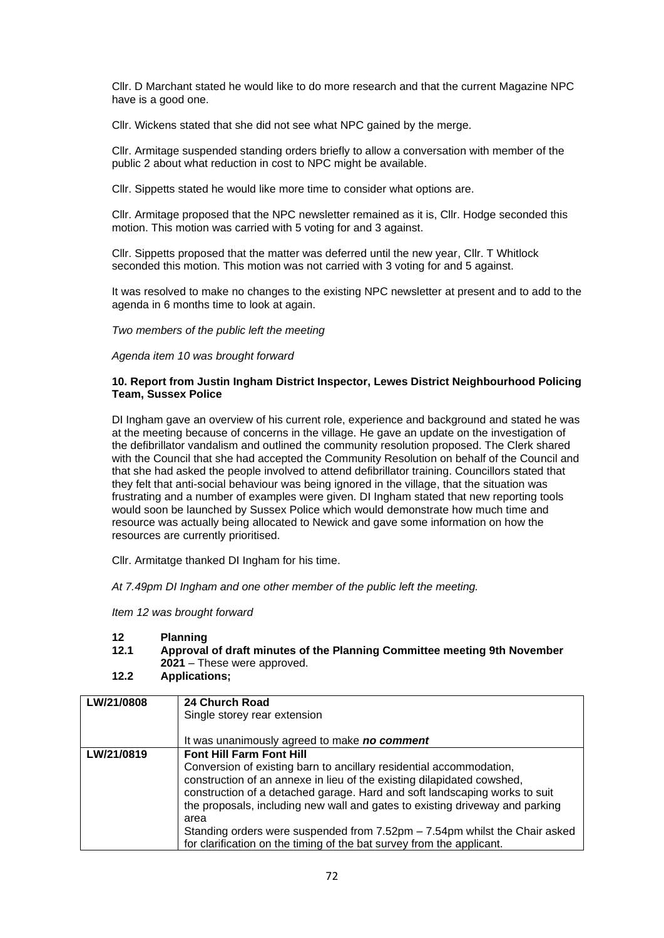Cllr. D Marchant stated he would like to do more research and that the current Magazine NPC have is a good one.

Cllr. Wickens stated that she did not see what NPC gained by the merge.

Cllr. Armitage suspended standing orders briefly to allow a conversation with member of the public 2 about what reduction in cost to NPC might be available.

Cllr. Sippetts stated he would like more time to consider what options are.

Cllr. Armitage proposed that the NPC newsletter remained as it is, Cllr. Hodge seconded this motion. This motion was carried with 5 voting for and 3 against.

Cllr. Sippetts proposed that the matter was deferred until the new year, Cllr. T Whitlock seconded this motion. This motion was not carried with 3 voting for and 5 against.

It was resolved to make no changes to the existing NPC newsletter at present and to add to the agenda in 6 months time to look at again.

*Two members of the public left the meeting*

*Agenda item 10 was brought forward*

#### **10. Report from Justin Ingham District Inspector, Lewes District Neighbourhood Policing Team, Sussex Police**

DI Ingham gave an overview of his current role, experience and background and stated he was at the meeting because of concerns in the village. He gave an update on the investigation of the defibrillator vandalism and outlined the community resolution proposed. The Clerk shared with the Council that she had accepted the Community Resolution on behalf of the Council and that she had asked the people involved to attend defibrillator training. Councillors stated that they felt that anti-social behaviour was being ignored in the village, that the situation was frustrating and a number of examples were given. DI Ingham stated that new reporting tools would soon be launched by Sussex Police which would demonstrate how much time and resource was actually being allocated to Newick and gave some information on how the resources are currently prioritised.

Cllr. Armitatge thanked DI Ingham for his time.

*At 7.49pm DI Ingham and one other member of the public left the meeting.*

*Item 12 was brought forward*

#### **12 Planning**

- **12.1 Approval of draft minutes of the Planning Committee meeting 9th November 2021** – These were approved.
- **12.2 Applications;**

| LW/21/0808 | 24 Church Road<br>Single storey rear extension<br>It was unanimously agreed to make no comment                                                                                                                                                                                                                                                                                                                                                                                                                                  |
|------------|---------------------------------------------------------------------------------------------------------------------------------------------------------------------------------------------------------------------------------------------------------------------------------------------------------------------------------------------------------------------------------------------------------------------------------------------------------------------------------------------------------------------------------|
| LW/21/0819 | <b>Font Hill Farm Font Hill</b><br>Conversion of existing barn to ancillary residential accommodation,<br>construction of an annexe in lieu of the existing dilapidated cowshed,<br>construction of a detached garage. Hard and soft landscaping works to suit<br>the proposals, including new wall and gates to existing driveway and parking<br>area<br>Standing orders were suspended from $7.52 \text{pm} - 7.54 \text{pm}$ whilst the Chair asked<br>for clarification on the timing of the bat survey from the applicant. |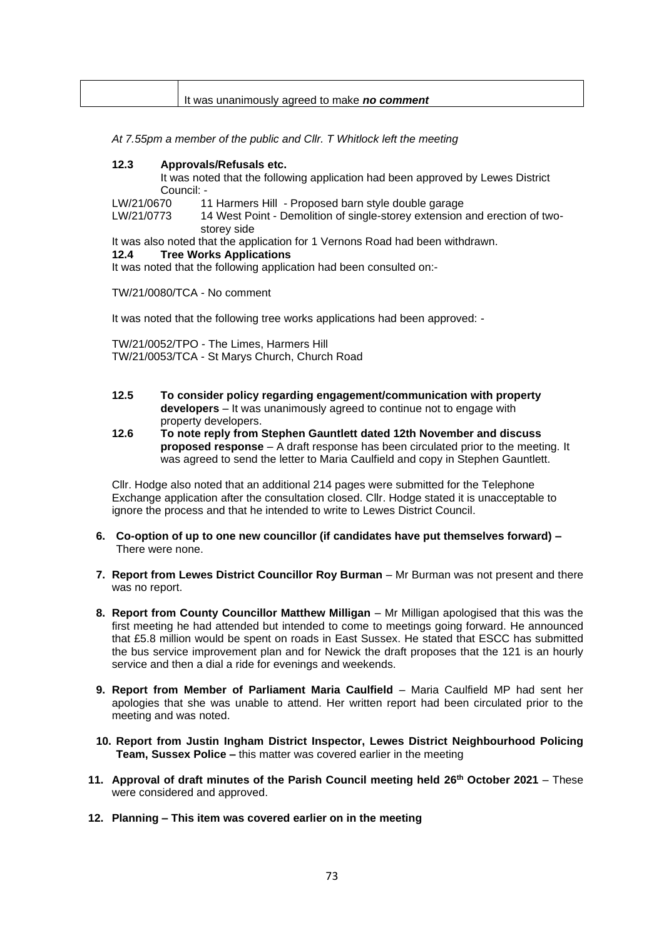| It was unanimously agreed to make no comment |
|----------------------------------------------|

*At 7.55pm a member of the public and Cllr. T Whitlock left the meeting*

#### **12.3 Approvals/Refusals etc.**

It was noted that the following application had been approved by Lewes District Council: -

LW/21/0670 11 Harmers Hill - Proposed barn style double garage

LW/21/0773 14 West Point - Demolition of single-storey extension and erection of twostorey side

It was also noted that the application for 1 Vernons Road had been withdrawn.

#### **12.4 Tree Works Applications**

It was noted that the following application had been consulted on:-

TW/21/0080/TCA - No comment

It was noted that the following tree works applications had been approved: -

TW/21/0052/TPO - The Limes, Harmers Hill TW/21/0053/TCA - St Marys Church, Church Road

- **12.5 To consider policy regarding engagement/communication with property developers** – It was unanimously agreed to continue not to engage with property developers.
- **12.6 To note reply from Stephen Gauntlett dated 12th November and discuss proposed response** – A draft response has been circulated prior to the meeting. It was agreed to send the letter to Maria Caulfield and copy in Stephen Gauntlett.

Cllr. Hodge also noted that an additional 214 pages were submitted for the Telephone Exchange application after the consultation closed. Cllr. Hodge stated it is unacceptable to ignore the process and that he intended to write to Lewes District Council.

- **6. Co-option of up to one new councillor (if candidates have put themselves forward) –** There were none.
- **7. Report from Lewes District Councillor Roy Burman** Mr Burman was not present and there was no report.
- 8. Report from County Councillor Matthew Milligan Mr Milligan apologised that this was the first meeting he had attended but intended to come to meetings going forward. He announced that £5.8 million would be spent on roads in East Sussex. He stated that ESCC has submitted the bus service improvement plan and for Newick the draft proposes that the 121 is an hourly service and then a dial a ride for evenings and weekends.
- **9. Report from Member of Parliament Maria Caulfield**  Maria Caulfield MP had sent her apologies that she was unable to attend. Her written report had been circulated prior to the meeting and was noted.
- **10. Report from Justin Ingham District Inspector, Lewes District Neighbourhood Policing Team, Sussex Police –** this matter was covered earlier in the meeting
- **11. Approval of draft minutes of the Parish Council meeting held 26 th October 2021** These were considered and approved.
- **12. Planning – This item was covered earlier on in the meeting**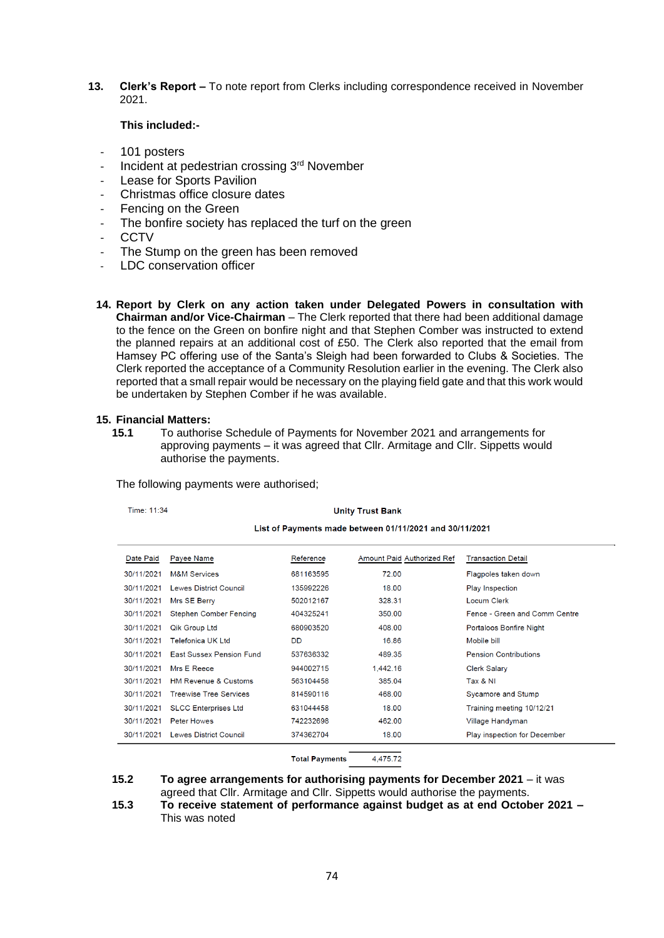**13. Clerk's Report –** To note report from Clerks including correspondence received in November 2021.

#### **This included:-**

- 101 posters
- Incident at pedestrian crossing 3<sup>rd</sup> November
- Lease for Sports Pavilion
- Christmas office closure dates
- Fencing on the Green
- The bonfire society has replaced the turf on the green
- **CCTV**
- The Stump on the green has been removed
- LDC conservation officer
- **14. Report by Clerk on any action taken under Delegated Powers in consultation with Chairman and/or Vice-Chairman** – The Clerk reported that there had been additional damage to the fence on the Green on bonfire night and that Stephen Comber was instructed to extend the planned repairs at an additional cost of £50. The Clerk also reported that the email from Hamsey PC offering use of the Santa's Sleigh had been forwarded to Clubs & Societies. The Clerk reported the acceptance of a Community Resolution earlier in the evening. The Clerk also reported that a small repair would be necessary on the playing field gate and that this work would be undertaken by Stephen Comber if he was available.

# **15. Financial Matters:**

**15.1** To authorise Schedule of Payments for November 2021 and arrangements for approving payments – it was agreed that Cllr. Armitage and Cllr. Sippetts would authorise the payments.

| Time: 11:34                                             | <b>Unity Trust Bank</b>         |           |                            |                               |  |  |  |  |
|---------------------------------------------------------|---------------------------------|-----------|----------------------------|-------------------------------|--|--|--|--|
| List of Payments made between 01/11/2021 and 30/11/2021 |                                 |           |                            |                               |  |  |  |  |
| Date Paid                                               | Payee Name                      | Reference | Amount Paid Authorized Ref | <b>Transaction Detail</b>     |  |  |  |  |
| 30/11/2021                                              | <b>M&amp;M Services</b>         | 681163595 | 72.00                      | Flagpoles taken down          |  |  |  |  |
| 30/11/2021                                              | <b>Lewes District Council</b>   | 135992226 | 18.00                      | Play Inspection               |  |  |  |  |
| 30/11/2021                                              | Mrs SE Berry                    | 502012167 | 328.31                     | Locum Clerk                   |  |  |  |  |
| 30/11/2021                                              | <b>Stephen Comber Fencing</b>   | 404325241 | 350.00                     | Fence - Green and Comm Centre |  |  |  |  |
| 30/11/2021                                              | <b>Qik Group Ltd</b>            | 680903520 | 408.00                     | Portaloos Bonfire Night       |  |  |  |  |
| 30/11/2021                                              | Telefonica UK Ltd               | DD        | 16.86                      | Mobile bill                   |  |  |  |  |
| 30/11/2021                                              | <b>East Sussex Pension Fund</b> | 537636332 | 489.35                     | <b>Pension Contributions</b>  |  |  |  |  |
| 30/11/2021                                              | Mrs E Reece                     | 944002715 | 1,442.16                   | <b>Clerk Salary</b>           |  |  |  |  |
| 30/11/2021                                              | <b>HM Revenue &amp; Customs</b> | 563104458 | 385.04                     | Tax & NI                      |  |  |  |  |
| 30/11/2021                                              | <b>Treewise Tree Services</b>   | 814590116 | 468.00                     | Sycamore and Stump            |  |  |  |  |
| 30/11/2021                                              | <b>SLCC Enterprises Ltd</b>     | 631044458 | 18.00                      | Training meeting 10/12/21     |  |  |  |  |
| 30/11/2021                                              | <b>Peter Howes</b>              | 742232698 | 462.00                     | Village Handyman              |  |  |  |  |
| 30/11/2021                                              | Lewes District Council          | 374362704 | 18.00                      | Play inspection for December  |  |  |  |  |
|                                                         |                                 |           |                            |                               |  |  |  |  |

The following payments were authorised;

#### **Total Payments** 4,475.72

**15.2 To agree arrangements for authorising payments for December 2021** – it was

agreed that Cllr. Armitage and Cllr. Sippetts would authorise the payments.

**15.3 To receive statement of performance against budget as at end October 2021 –** This was noted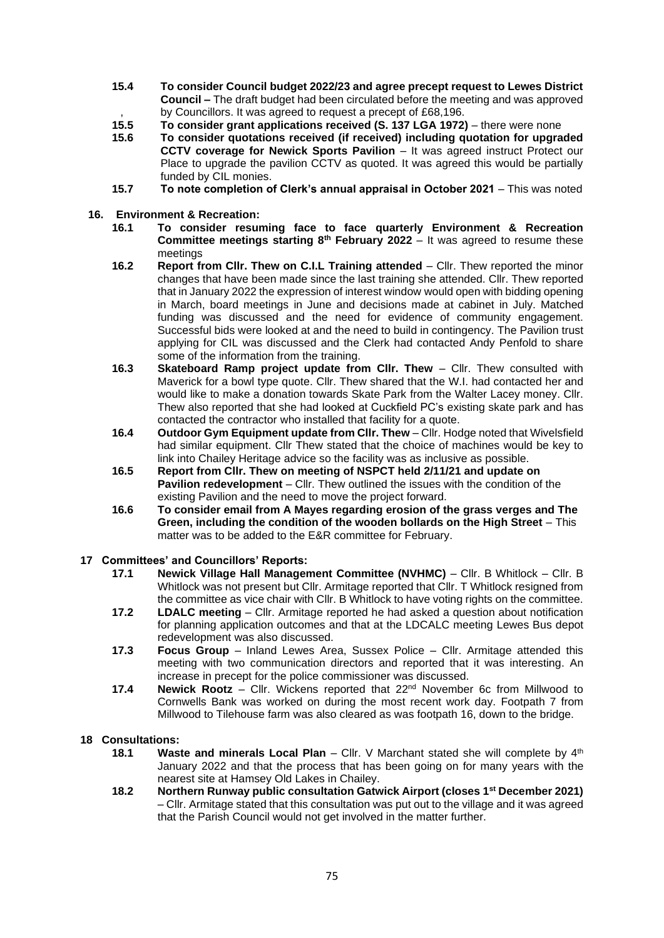- **15.4 To consider Council budget 2022/23 and agree precept request to Lewes District Council –** The draft budget had been circulated before the meeting and was approved , by Councillors. It was agreed to request a precept of £68,196.
- **15.5 To consider grant applications received (S. 137 LGA 1972)**  there were none
- **15.6 To consider quotations received (if received) including quotation for upgraded CCTV coverage for Newick Sports Pavilion** – It was agreed instruct Protect our Place to upgrade the pavilion CCTV as quoted. It was agreed this would be partially funded by CIL monies.
- **15.7 To note completion of Clerk's annual appraisal in October 2021** This was noted
- **16. Environment & Recreation:**
	- **16.1 To consider resuming face to face quarterly Environment & Recreation Committee meetings starting 8th February 2022** – It was agreed to resume these meetings
	- **16.2 Report from Cllr. Thew on C.I.L Training attended** Cllr. Thew reported the minor changes that have been made since the last training she attended. Cllr. Thew reported that in January 2022 the expression of interest window would open with bidding opening in March, board meetings in June and decisions made at cabinet in July. Matched funding was discussed and the need for evidence of community engagement. Successful bids were looked at and the need to build in contingency. The Pavilion trust applying for CIL was discussed and the Clerk had contacted Andy Penfold to share some of the information from the training.
	- **16.3 Skateboard Ramp project update from Cllr. Thew** Cllr. Thew consulted with Maverick for a bowl type quote. Cllr. Thew shared that the W.I. had contacted her and would like to make a donation towards Skate Park from the Walter Lacey money. Cllr. Thew also reported that she had looked at Cuckfield PC's existing skate park and has contacted the contractor who installed that facility for a quote.
	- **16.4 Outdoor Gym Equipment update from Cllr. Thew** Cllr. Hodge noted that Wivelsfield had similar equipment. Cllr Thew stated that the choice of machines would be key to link into Chailey Heritage advice so the facility was as inclusive as possible.
	- **16.5 Report from Cllr. Thew on meeting of NSPCT held 2/11/21 and update on Pavilion redevelopment** – Cllr. Thew outlined the issues with the condition of the existing Pavilion and the need to move the project forward.
	- **16.6 To consider email from A Mayes regarding erosion of the grass verges and The Green, including the condition of the wooden bollards on the High Street** – This matter was to be added to the E&R committee for February.

### **17 Committees' and Councillors' Reports:**

- **17.1 Newick Village Hall Management Committee (NVHMC)** Cllr. B Whitlock Cllr. B Whitlock was not present but Cllr. Armitage reported that Cllr. T Whitlock resigned from the committee as vice chair with Cllr. B Whitlock to have voting rights on the committee.
- **17.2 LDALC meeting** Cllr. Armitage reported he had asked a question about notification for planning application outcomes and that at the LDCALC meeting Lewes Bus depot redevelopment was also discussed.
- **17.3 Focus Group** Inland Lewes Area, Sussex Police Cllr. Armitage attended this meeting with two communication directors and reported that it was interesting. An increase in precept for the police commissioner was discussed.
- **17.4 Newick Rootz** Cllr. Wickens reported that 22nd November 6c from Millwood to Cornwells Bank was worked on during the most recent work day. Footpath 7 from Millwood to Tilehouse farm was also cleared as was footpath 16, down to the bridge.

#### **18 Consultations:**

- **18.1 Waste and minerals Local Plan** Cllr. V Marchant stated she will complete by 4<sup>th</sup> January 2022 and that the process that has been going on for many years with the nearest site at Hamsey Old Lakes in Chailey.
- **18.2 Northern Runway public consultation Gatwick Airport (closes 1st December 2021)** – Cllr. Armitage stated that this consultation was put out to the village and it was agreed that the Parish Council would not get involved in the matter further.